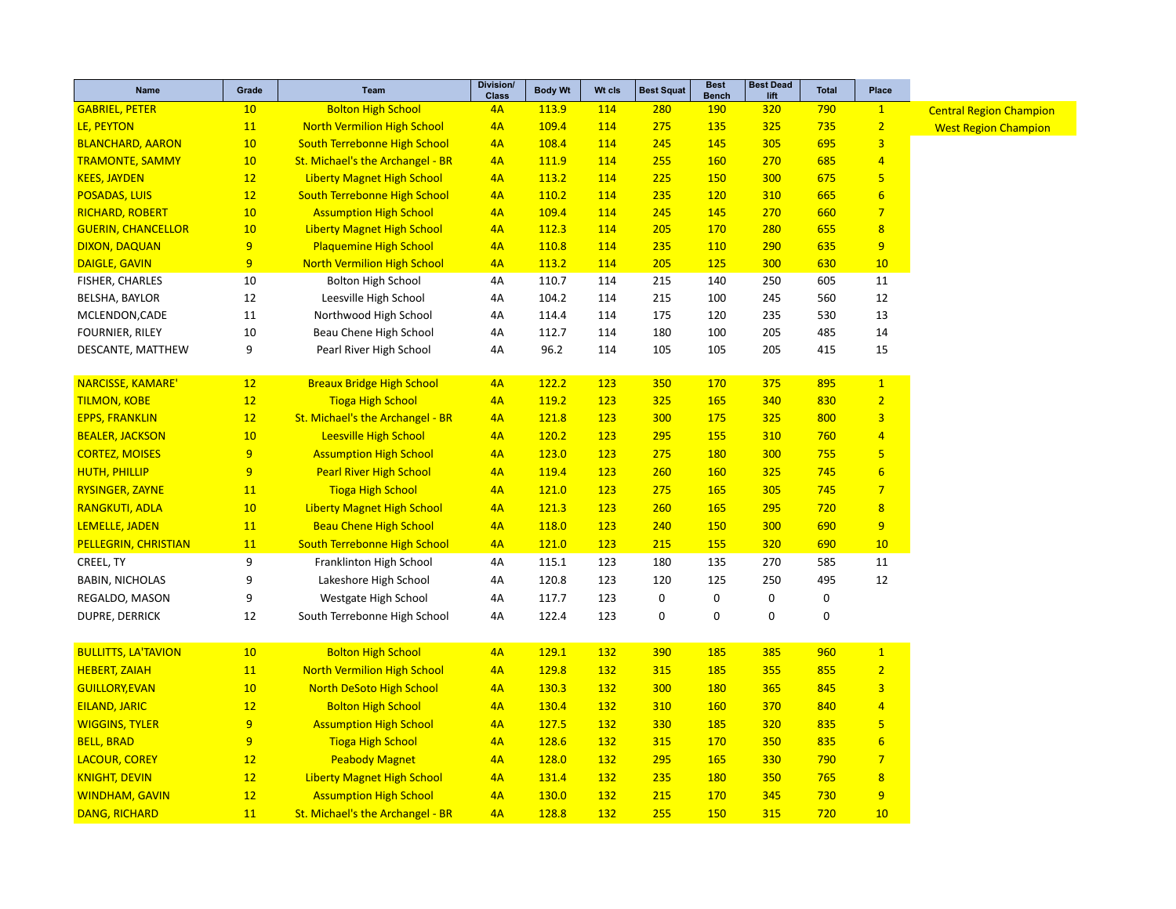| Name                        | Grade          | <b>Team</b>                         | <b>Division/</b><br><b>Class</b> | <b>Body Wt</b> | Wt cls     | <b>Best Squat</b> | <b>Best</b><br><b>Bench</b> | <b>Best Dead</b><br>lift | <b>Total</b> | Place                   |                                |
|-----------------------------|----------------|-------------------------------------|----------------------------------|----------------|------------|-------------------|-----------------------------|--------------------------|--------------|-------------------------|--------------------------------|
| <b>GABRIEL, PETER</b>       | 10             | <b>Bolton High School</b>           | 4A                               | 113.9          | 114        | 280               | <b>190</b>                  | 320                      | 790          | $\mathbf{1}$            | <b>Central Region Champion</b> |
| LE, PEYTON                  | 11             | <b>North Vermilion High School</b>  | 4A                               | 109.4          | 114        | 275               | 135                         | 325                      | 735          | $\overline{2}$          | <b>West Region Champion</b>    |
| <b>BLANCHARD, AARON</b>     | 10             | South Terrebonne High School        | 4A                               | 108.4          | 114        | 245               | 145                         | 305                      | 695          | $\overline{3}$          |                                |
| <b>TRAMONTE, SAMMY</b>      | 10             | St. Michael's the Archangel - BR    | 4A                               | 111.9          | 114        | 255               | <b>160</b>                  | 270                      | 685          | $\overline{4}$          |                                |
| <b>KEES, JAYDEN</b>         | 12             | <b>Liberty Magnet High School</b>   | 4A                               | 113.2          | 114        | 225               | 150                         | 300                      | 675          | $\overline{5}$          |                                |
| <b>POSADAS, LUIS</b>        | 12             | <b>South Terrebonne High School</b> | 4A                               | 110.2          | 114        | 235               | <b>120</b>                  | 310                      | 665          | $6\overline{6}$         |                                |
| <b>RICHARD, ROBERT</b>      | 10             | <b>Assumption High School</b>       | 4A                               | 109.4          | 114        | 245               | 145                         | 270                      | 660          | $\overline{7}$          |                                |
| <b>GUERIN, CHANCELLOR</b>   | 10             | <b>Liberty Magnet High School</b>   | 4A                               | 112.3          | 114        | 205               | 170                         | 280                      | 655          | 8                       |                                |
| <b>DIXON, DAQUAN</b>        | 9              | <b>Plaquemine High School</b>       | 4A                               | 110.8          | 114        | 235               | 110                         | 290                      | 635          | 9                       |                                |
| <b>DAIGLE, GAVIN</b>        | 9              | <b>North Vermilion High School</b>  | 4A                               | 113.2          | 114        | 205               | 125                         | 300                      | 630          | 10                      |                                |
| FISHER, CHARLES             | 10             | <b>Bolton High School</b>           | 4A                               | 110.7          | 114        | 215               | 140                         | 250                      | 605          | 11                      |                                |
| BELSHA, BAYLOR              | 12             | Leesville High School               | 4A                               | 104.2          | 114        | 215               | 100                         | 245                      | 560          | 12                      |                                |
| MCLENDON, CADE              | 11             | Northwood High School               | 4A                               | 114.4          | 114        | 175               | 120                         | 235                      | 530          | 13                      |                                |
| <b>FOURNIER, RILEY</b>      | 10             | Beau Chene High School              | 4A                               | 112.7          | 114        | 180               | 100                         | 205                      | 485          | 14                      |                                |
| DESCANTE, MATTHEW           | 9              | Pearl River High School             | 4A                               | 96.2           | 114        | 105               | 105                         | 205                      | 415          | 15                      |                                |
| NARCISSE, KAMARE'           | 12             | <b>Breaux Bridge High School</b>    | 4A                               | 122.2          | 123        | 350               | 170                         | 375                      | 895          | $\mathbf{1}$            |                                |
| <b>TILMON, KOBE</b>         | 12             | <b>Tioga High School</b>            | 4A                               | 119.2          | <b>123</b> | <b>325</b>        | <b>165</b>                  | 340                      | 830          | $\overline{2}$          |                                |
| <b>EPPS, FRANKLIN</b>       | 12             | St. Michael's the Archangel - BR    | 4A                               | 121.8          | 123        | 300               | 175                         | 325                      | 800          | $\overline{3}$          |                                |
| <b>BEALER, JACKSON</b>      | 10             | <b>Leesville High School</b>        | 4A                               | 120.2          | 123        | 295               | 155                         | 310                      | 760          | $\overline{4}$          |                                |
| <b>CORTEZ, MOISES</b>       | 9              | <b>Assumption High School</b>       | 4A                               | 123.0          | <b>123</b> | 275               | <b>180</b>                  | 300                      | 755          | $\overline{\mathbf{5}}$ |                                |
| <b>HUTH, PHILLIP</b>        | $\overline{9}$ | <b>Pearl River High School</b>      | 4A                               | 119.4          | 123        | 260               | <b>160</b>                  | 325                      | 745          | $6\overline{6}$         |                                |
| <b>RYSINGER, ZAYNE</b>      | 11             | <b>Tioga High School</b>            | 4A                               | 121.0          | 123        | 275               | 165                         | 305                      | 745          | $\overline{7}$          |                                |
| <b>RANGKUTI, ADLA</b>       | 10             | <b>Liberty Magnet High School</b>   | 4A                               | 121.3          | 123        | 260               | 165                         | 295                      | 720          | 8                       |                                |
| LEMELLE, JADEN              | 11             | <b>Beau Chene High School</b>       | 4A                               | 118.0          | 123        | 240               | 150                         | 300                      | 690          | 9                       |                                |
| <b>PELLEGRIN, CHRISTIAN</b> | 11             | <b>South Terrebonne High School</b> | 4A                               | 121.0          | 123        | 215               | 155                         | 320                      | 690          | 10                      |                                |
| CREEL, TY                   | 9              | Franklinton High School             | 4A                               | 115.1          | 123        | 180               | 135                         | 270                      | 585          | 11                      |                                |
| <b>BABIN, NICHOLAS</b>      | 9              | Lakeshore High School               | 4A                               | 120.8          | 123        | 120               | 125                         | 250                      | 495          | 12                      |                                |
| REGALDO, MASON              | 9              | Westgate High School                | 4A                               | 117.7          | 123        | 0                 | 0                           | 0                        | $\pmb{0}$    |                         |                                |
| <b>DUPRE, DERRICK</b>       | 12             | South Terrebonne High School        | 4A                               | 122.4          | 123        | $\mathbf 0$       | $\pmb{0}$                   | 0                        | $\mathbf 0$  |                         |                                |
| <b>BULLITTS, LA'TAVION</b>  | 10             | <b>Bolton High School</b>           | 4A                               | 129.1          | <b>132</b> | 390               | 185                         | 385                      | 960          | $\mathbf{1}$            |                                |
| <b>HEBERT, ZAIAH</b>        | 11             | <b>North Vermilion High School</b>  | 4A                               | 129.8          | 132        | 315               | 185                         | 355                      | 855          | $\overline{2}$          |                                |
| <b>GUILLORY, EVAN</b>       | 10             | <b>North DeSoto High School</b>     | 4A                               | 130.3          | <b>132</b> | 300               | <b>180</b>                  | 365                      | 845          | $\overline{3}$          |                                |
| <b>EILAND, JARIC</b>        | 12             | <b>Bolton High School</b>           | 4A                               | 130.4          | 132        | 310               | 160                         | 370                      | 840          | $\overline{4}$          |                                |
| <b>WIGGINS, TYLER</b>       | 9              | <b>Assumption High School</b>       | 4A                               | 127.5          | <b>132</b> | 330               | 185                         | 320                      | 835          | 5 <sub>5</sub>          |                                |
| <b>BELL, BRAD</b>           | 9              | <b>Tioga High School</b>            | 4A                               | 128.6          | <b>132</b> | 315               | 170                         | 350                      | 835          | $6\overline{6}$         |                                |
| <b>LACOUR, COREY</b>        | 12             | <b>Peabody Magnet</b>               | 4A                               | 128.0          | 132        | 295               | 165                         | 330                      | 790          | $\overline{7}$          |                                |
| <b>KNIGHT, DEVIN</b>        | 12             | <b>Liberty Magnet High School</b>   | 4A                               | 131.4          | <b>132</b> | 235               | <b>180</b>                  | 350                      | 765          | 8                       |                                |
| <b>WINDHAM, GAVIN</b>       | 12             | <b>Assumption High School</b>       | 4A                               | 130.0          | 132        | 215               | 170                         | 345                      | 730          | 9                       |                                |
| <b>DANG, RICHARD</b>        | 11             | St. Michael's the Archangel - BR    | 4A                               | 128.8          | 132        | 255               | 150                         | 315                      | 720          | 10                      |                                |
|                             |                |                                     |                                  |                |            |                   |                             |                          |              |                         |                                |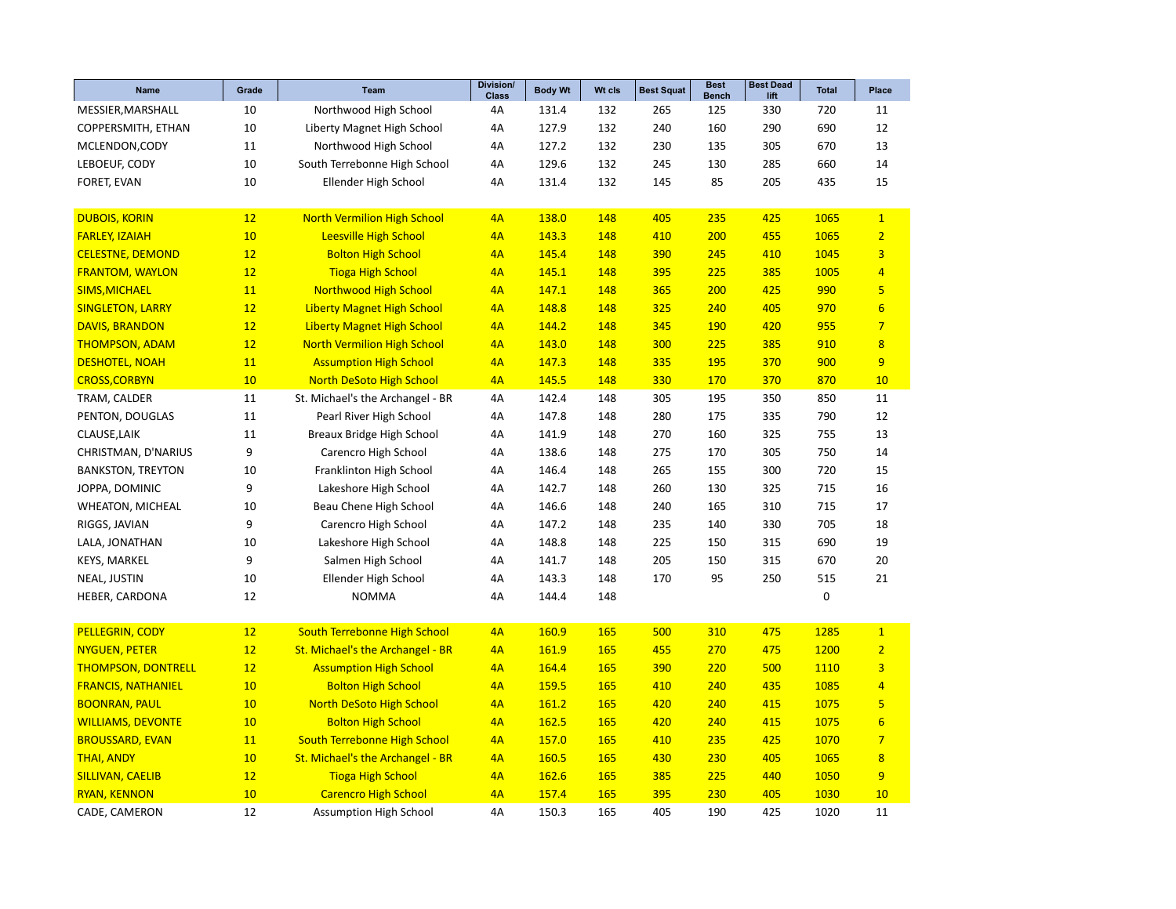| Name                      | Grade | Team                                | Division/<br><b>Class</b> | <b>Body Wt</b> | Wt cls | <b>Best Squat</b> | <b>Best</b><br><b>Bench</b> | <b>Best Dead</b><br>lift | <b>Total</b> | Place                   |
|---------------------------|-------|-------------------------------------|---------------------------|----------------|--------|-------------------|-----------------------------|--------------------------|--------------|-------------------------|
| MESSIER, MARSHALL         | 10    | Northwood High School               | 4A                        | 131.4          | 132    | 265               | 125                         | 330                      | 720          | 11                      |
| COPPERSMITH, ETHAN        | 10    | Liberty Magnet High School          | 4A                        | 127.9          | 132    | 240               | 160                         | 290                      | 690          | 12                      |
| MCLENDON, CODY            | 11    | Northwood High School               | 4A                        | 127.2          | 132    | 230               | 135                         | 305                      | 670          | 13                      |
| LEBOEUF, CODY             | 10    | South Terrebonne High School        | 4A                        | 129.6          | 132    | 245               | 130                         | 285                      | 660          | 14                      |
| FORET, EVAN               | 10    | Ellender High School                | 4A                        | 131.4          | 132    | 145               | 85                          | 205                      | 435          | 15                      |
|                           |       |                                     |                           |                |        |                   |                             |                          |              |                         |
| <b>DUBOIS, KORIN</b>      | 12    | <b>North Vermilion High School</b>  | 4A                        | 138.0          | 148    | 405               | 235                         | 425                      | 1065         | $\overline{1}$          |
| <b>FARLEY, IZAIAH</b>     | 10    | <b>Leesville High School</b>        | 4A                        | 143.3          | 148    | 410               | 200                         | 455                      | 1065         | $\overline{2}$          |
| <b>CELESTNE, DEMOND</b>   | 12    | <b>Bolton High School</b>           | 4A                        | 145.4          | 148    | 390               | 245                         | 410                      | 1045         | $\overline{\mathbf{3}}$ |
| <b>FRANTOM, WAYLON</b>    | 12    | <b>Tioga High School</b>            | 4A                        | 145.1          | 148    | 395               | 225                         | 385                      | 1005         | $\overline{4}$          |
| <b>SIMS, MICHAEL</b>      | 11    | <b>Northwood High School</b>        | 4A                        | 147.1          | 148    | 365               | 200                         | 425                      | 990          | $\overline{5}$          |
| <b>SINGLETON, LARRY</b>   | 12    | <b>Liberty Magnet High School</b>   | 4A                        | 148.8          | 148    | 325               | 240                         | 405                      | 970          | $6\phantom{1}6$         |
| <b>DAVIS, BRANDON</b>     | 12    | <b>Liberty Magnet High School</b>   | 4A                        | 144.2          | 148    | 345               | 190                         | 420                      | 955          | $\overline{7}$          |
| <b>THOMPSON, ADAM</b>     | 12    | <b>North Vermilion High School</b>  | 4A                        | 143.0          | 148    | 300               | 225                         | 385                      | 910          | $\overline{\mathbf{8}}$ |
| <b>DESHOTEL, NOAH</b>     | 11    | <b>Assumption High School</b>       | 4A                        | 147.3          | 148    | 335               | 195                         | 370                      | 900          | 9                       |
| <b>CROSS, CORBYN</b>      | 10    | <b>North DeSoto High School</b>     | 4A                        | 145.5          | 148    | 330               | 170                         | 370                      | 870          | 10                      |
| TRAM, CALDER              | 11    | St. Michael's the Archangel - BR    | 4A                        | 142.4          | 148    | 305               | 195                         | 350                      | 850          | 11                      |
| PENTON, DOUGLAS           | 11    | Pearl River High School             | 4A                        | 147.8          | 148    | 280               | 175                         | 335                      | 790          | 12                      |
| CLAUSE, LAIK              | 11    | Breaux Bridge High School           | 4A                        | 141.9          | 148    | 270               | 160                         | 325                      | 755          | 13                      |
| CHRISTMAN, D'NARIUS       | 9     | Carencro High School                | 4A                        | 138.6          | 148    | 275               | 170                         | 305                      | 750          | 14                      |
| <b>BANKSTON, TREYTON</b>  | 10    | Franklinton High School             | 4A                        | 146.4          | 148    | 265               | 155                         | 300                      | 720          | 15                      |
| JOPPA, DOMINIC            | 9     | Lakeshore High School               | 4A                        | 142.7          | 148    | 260               | 130                         | 325                      | 715          | 16                      |
| <b>WHEATON, MICHEAL</b>   | 10    | Beau Chene High School              | 4A                        | 146.6          | 148    | 240               | 165                         | 310                      | 715          | 17                      |
| RIGGS, JAVIAN             | 9     | Carencro High School                | 4A                        | 147.2          | 148    | 235               | 140                         | 330                      | 705          | 18                      |
| LALA, JONATHAN            | 10    | Lakeshore High School               | 4A                        | 148.8          | 148    | 225               | 150                         | 315                      | 690          | 19                      |
| <b>KEYS, MARKEL</b>       | 9     | Salmen High School                  | 4A                        | 141.7          | 148    | 205               | 150                         | 315                      | 670          | 20                      |
| NEAL, JUSTIN              | 10    | Ellender High School                | 4A                        | 143.3          | 148    | 170               | 95                          | 250                      | 515          | 21                      |
| HEBER, CARDONA            | 12    | <b>NOMMA</b>                        | 4A                        | 144.4          | 148    |                   |                             |                          | $\mathbf 0$  |                         |
|                           |       |                                     |                           |                |        |                   |                             |                          |              |                         |
| PELLEGRIN, CODY           | 12    | <b>South Terrebonne High School</b> | 4A                        | 160.9          | 165    | 500               | 310                         | 475                      | 1285         | $\mathbf{1}$            |
| <b>NYGUEN, PETER</b>      | 12    | St. Michael's the Archangel - BR    | 4A                        | 161.9          | 165    | 455               | 270                         | 475                      | 1200         | $\overline{2}$          |
| <b>THOMPSON, DONTRELL</b> | 12    | <b>Assumption High School</b>       | 4A                        | 164.4          | 165    | 390               | 220                         | 500                      | 1110         | $\overline{\mathbf{3}}$ |
| <b>FRANCIS, NATHANIEL</b> | 10    | <b>Bolton High School</b>           | 4A                        | 159.5          | 165    | 410               | 240                         | 435                      | 1085         | $\overline{4}$          |
| <b>BOONRAN, PAUL</b>      | 10    | North DeSoto High School            | 4A                        | 161.2          | 165    | 420               | 240                         | 415                      | 1075         | 5                       |
| <b>WILLIAMS, DEVONTE</b>  | 10    | <b>Bolton High School</b>           | 4A                        | 162.5          | 165    | 420               | 240                         | 415                      | 1075         | $6\phantom{1}6$         |
| <b>BROUSSARD, EVAN</b>    | 11    | <b>South Terrebonne High School</b> | 4A                        | <b>157.0</b>   | 165    | 410               | 235                         | 425                      | 1070         | $\overline{7}$          |
| <b>THAI, ANDY</b>         | 10    | St. Michael's the Archangel - BR    | 4A                        | 160.5          | 165    | 430               | 230                         | 405                      | 1065         | $\overline{\mathbf{8}}$ |
| <b>SILLIVAN, CAELIB</b>   | 12    | <b>Tioga High School</b>            | 4A                        | 162.6          | 165    | 385               | 225                         | 440                      | 1050         | 9                       |
| <b>RYAN, KENNON</b>       | 10    | <b>Carencro High School</b>         | 4A                        | 157.4          | 165    | 395               | 230                         | 405                      | 1030         | 10                      |
| CADE, CAMERON             | 12    | <b>Assumption High School</b>       | 4A                        | 150.3          | 165    | 405               | 190                         | 425                      | 1020         | 11                      |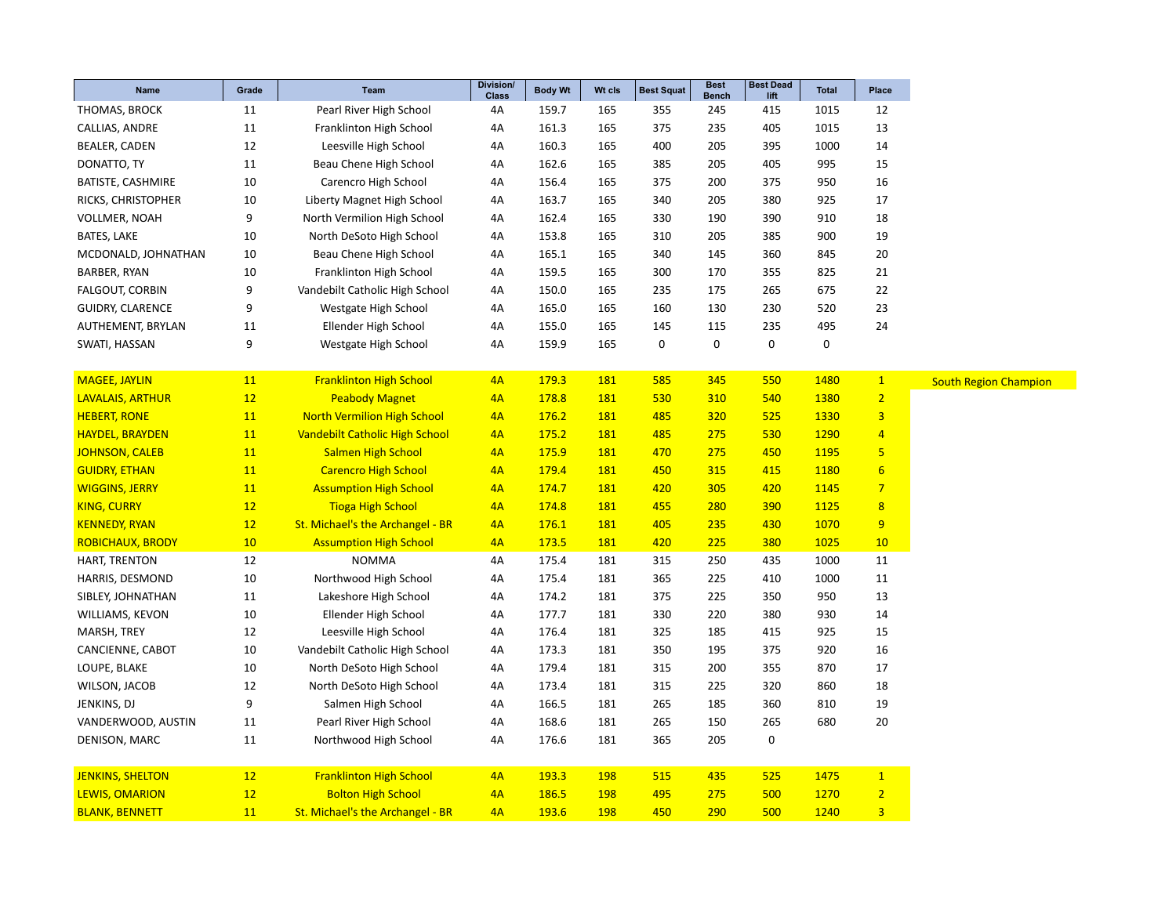| Name                    | Grade | Team                                  | Division/<br><b>Class</b> | <b>Body Wt</b> | Wt cls     | <b>Best Squat</b> | <b>Best</b><br><b>Bench</b> | <b>Best Dead</b><br>lift | <b>Total</b>     | Place                   |
|-------------------------|-------|---------------------------------------|---------------------------|----------------|------------|-------------------|-----------------------------|--------------------------|------------------|-------------------------|
| THOMAS, BROCK           | 11    | Pearl River High School               | 4A                        | 159.7          | 165        | 355               | 245                         | 415                      | 1015             | 12                      |
| CALLIAS, ANDRE          | 11    | Franklinton High School               | 4A                        | 161.3          | 165        | 375               | 235                         | 405                      | 1015             | 13                      |
| BEALER, CADEN           | 12    | Leesville High School                 | 4A                        | 160.3          | 165        | 400               | 205                         | 395                      | 1000             | 14                      |
| DONATTO, TY             | 11    | Beau Chene High School                | 4A                        | 162.6          | 165        | 385               | 205                         | 405                      | 995              | 15                      |
| BATISTE, CASHMIRE       | 10    | Carencro High School                  | 4A                        | 156.4          | 165        | 375               | 200                         | 375                      | 950              | 16                      |
| RICKS, CHRISTOPHER      | 10    | Liberty Magnet High School            | 4A                        | 163.7          | 165        | 340               | 205                         | 380                      | 925              | 17                      |
| <b>VOLLMER, NOAH</b>    | 9     | North Vermilion High School           | 4A                        | 162.4          | 165        | 330               | 190                         | 390                      | 910              | 18                      |
| BATES, LAKE             | 10    | North DeSoto High School              | 4A                        | 153.8          | 165        | 310               | 205                         | 385                      | 900              | 19                      |
| MCDONALD, JOHNATHAN     | 10    | Beau Chene High School                | 4A                        | 165.1          | 165        | 340               | 145                         | 360                      | 845              | 20                      |
| BARBER, RYAN            | 10    | Franklinton High School               | 4A                        | 159.5          | 165        | 300               | 170                         | 355                      | 825              | 21                      |
| <b>FALGOUT, CORBIN</b>  | 9     | Vandebilt Catholic High School        | 4A                        | 150.0          | 165        | 235               | 175                         | 265                      | 675              | 22                      |
| <b>GUIDRY, CLARENCE</b> | 9     | Westgate High School                  | 4A                        | 165.0          | 165        | 160               | 130                         | 230                      | 520              | 23                      |
| AUTHEMENT, BRYLAN       | 11    | Ellender High School                  | 4A                        | 155.0          | 165        | 145               | 115                         | 235                      | 495              | 24                      |
| SWATI, HASSAN           | 9     | Westgate High School                  | 4A                        | 159.9          | 165        | 0                 | $\mathbf 0$                 | 0                        | $\boldsymbol{0}$ |                         |
|                         |       |                                       |                           |                |            |                   |                             |                          |                  |                         |
| <b>MAGEE, JAYLIN</b>    | 11    | <b>Franklinton High School</b>        | 4A                        | 179.3          | 181        | 585               | 345                         | 550                      | 1480             | $\mathbf{1}$            |
| <b>LAVALAIS, ARTHUR</b> | 12    | <b>Peabody Magnet</b>                 | 4A                        | 178.8          | 181        | 530               | 310                         | 540                      | 1380             | $\overline{2}$          |
| <b>HEBERT, RONE</b>     | 11    | <b>North Vermilion High School</b>    | 4A                        | 176.2          | 181        | 485               | 320                         | 525                      | 1330             | $\overline{\mathbf{3}}$ |
| <b>HAYDEL, BRAYDEN</b>  | 11    | <b>Vandebilt Catholic High School</b> | 4A                        | 175.2          | 181        | 485               | 275                         | 530                      | 1290             | $\overline{4}$          |
| <b>JOHNSON, CALEB</b>   | 11    | <b>Salmen High School</b>             | 4A                        | 175.9          | 181        | 470               | 275                         | 450                      | 1195             | 5                       |
| <b>GUIDRY, ETHAN</b>    | 11    | <b>Carencro High School</b>           | 4A                        | 179.4          | <b>181</b> | 450               | 315                         | 415                      | 1180             | $6\overline{6}$         |
| <b>WIGGINS, JERRY</b>   | 11    | <b>Assumption High School</b>         | 4A                        | 174.7          | 181        | 420               | 305                         | 420                      | 1145             | $\overline{7}$          |
| <b>KING, CURRY</b>      | 12    | <b>Tioga High School</b>              | 4A                        | 174.8          | 181        | 455               | 280                         | 390                      | 1125             | $\overline{8}$          |
| <b>KENNEDY, RYAN</b>    | 12    | St. Michael's the Archangel - BR      | 4A                        | 176.1          | <b>181</b> | 405               | 235                         | 430                      | 1070             | 9                       |
| <b>ROBICHAUX, BRODY</b> | 10    | <b>Assumption High School</b>         | 4A                        | 173.5          | 181        | 420               | 225                         | 380                      | 1025             | 10                      |
| HART, TRENTON           | 12    | <b>NOMMA</b>                          | 4A                        | 175.4          | 181        | 315               | 250                         | 435                      | 1000             | 11                      |
| HARRIS, DESMOND         | 10    | Northwood High School                 | 4A                        | 175.4          | 181        | 365               | 225                         | 410                      | 1000             | 11                      |
| SIBLEY, JOHNATHAN       | 11    | Lakeshore High School                 | 4A                        | 174.2          | 181        | 375               | 225                         | 350                      | 950              | 13                      |
| WILLIAMS, KEVON         | 10    | Ellender High School                  | 4A                        | 177.7          | 181        | 330               | 220                         | 380                      | 930              | 14                      |
| MARSH, TREY             | 12    | Leesville High School                 | 4A                        | 176.4          | 181        | 325               | 185                         | 415                      | 925              | 15                      |
| CANCIENNE, CABOT        | 10    | Vandebilt Catholic High School        | 4A                        | 173.3          | 181        | 350               | 195                         | 375                      | 920              | 16                      |
| LOUPE, BLAKE            | 10    | North DeSoto High School              | 4A                        | 179.4          | 181        | 315               | 200                         | 355                      | 870              | 17                      |
| WILSON, JACOB           | 12    | North DeSoto High School              | 4A                        | 173.4          | 181        | 315               | 225                         | 320                      | 860              | 18                      |
| JENKINS, DJ             | 9     | Salmen High School                    | 4A                        | 166.5          | 181        | 265               | 185                         | 360                      | 810              | 19                      |
| VANDERWOOD, AUSTIN      | 11    | Pearl River High School               | 4A                        | 168.6          | 181        | 265               | 150                         | 265                      | 680              | 20                      |
| DENISON, MARC           | 11    | Northwood High School                 | 4A                        | 176.6          | 181        | 365               | 205                         | 0                        |                  |                         |
|                         |       |                                       |                           |                |            |                   |                             |                          |                  |                         |
| <b>JENKINS, SHELTON</b> | 12    | <b>Franklinton High School</b>        | 4A                        | 193.3          | 198        | 515               | 435                         | 525                      | 1475             | $\mathbf{1}$            |
| <b>LEWIS, OMARION</b>   | 12    | <b>Bolton High School</b>             | 4A                        | 186.5          | 198        | 495               | 275                         | 500                      | 1270             | $\overline{2}$          |
| <b>BLANK, BENNETT</b>   | 11    | St. Michael's the Archangel - BR      | 4A                        | 193.6          | 198        | 450               | 290                         | 500                      | 1240             | $\overline{3}$          |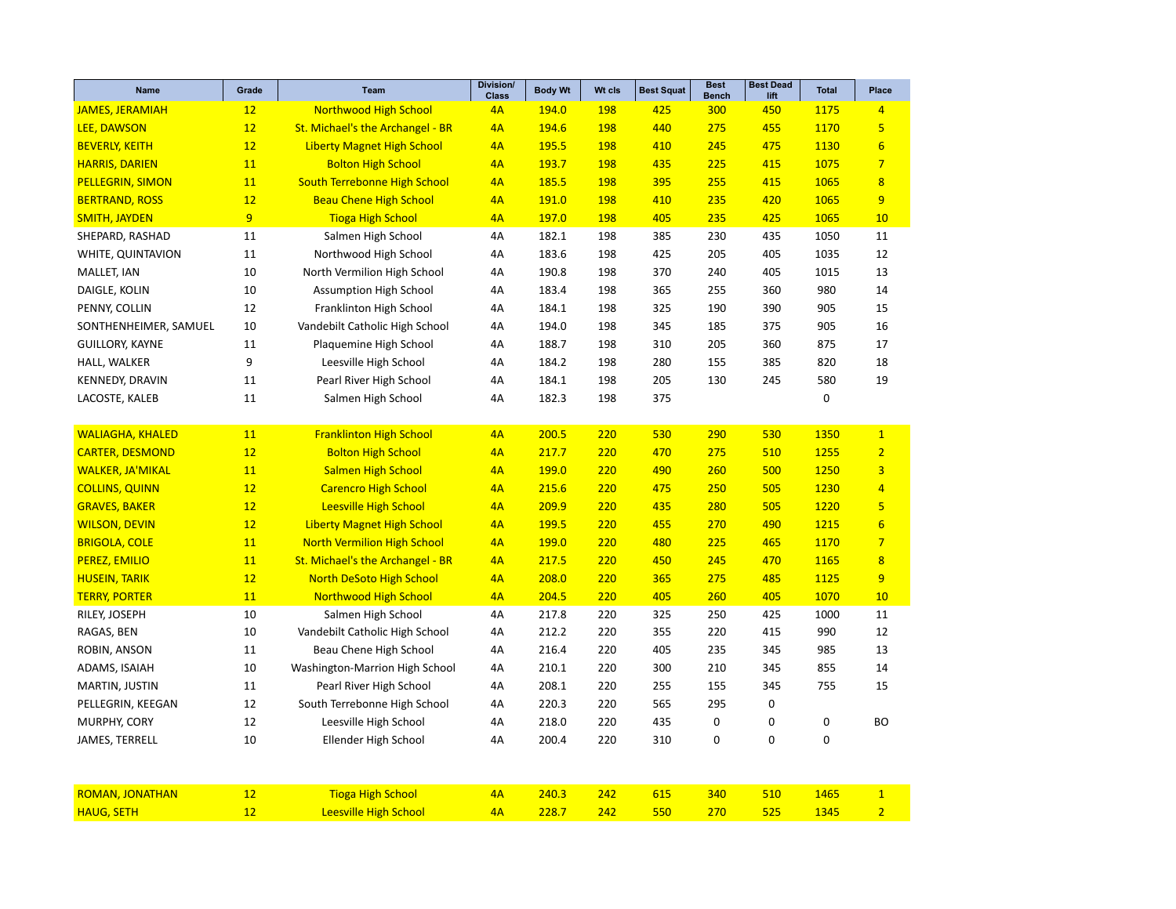| Name                    | Grade          | <b>Team</b>                         | <b>Division/</b><br><b>Class</b> | <b>Body Wt</b> | Wt cls     | <b>Best Squat</b> | <b>Best</b><br><b>Bench</b> | <b>Best Dead</b><br>lift | <b>Total</b> | <b>Place</b>            |
|-------------------------|----------------|-------------------------------------|----------------------------------|----------------|------------|-------------------|-----------------------------|--------------------------|--------------|-------------------------|
| <b>JAMES, JERAMIAH</b>  | 12             | <b>Northwood High School</b>        | 4A                               | 194.0          | 198        | 425               | 300                         | 450                      | 1175         | $\overline{4}$          |
| LEE, DAWSON             | 12             | St. Michael's the Archangel - BR    | 4A                               | 194.6          | 198        | 440               | 275                         | 455                      | 1170         | 5 <sup>1</sup>          |
| <b>BEVERLY, KEITH</b>   | 12             | <b>Liberty Magnet High School</b>   | 4A                               | 195.5          | <b>198</b> | 410               | 245                         | 475                      | 1130         | $6\overline{6}$         |
| <b>HARRIS, DARIEN</b>   | 11             | <b>Bolton High School</b>           | 4A                               | 193.7          | 198        | 435               | 225                         | 415                      | 1075         | $\overline{7}$          |
| <b>PELLEGRIN, SIMON</b> | 11             | <b>South Terrebonne High School</b> | 4A                               | 185.5          | 198        | 395               | 255                         | 415                      | 1065         | $\overline{8}$          |
| <b>BERTRAND, ROSS</b>   | 12             | <b>Beau Chene High School</b>       | 4A                               | 191.0          | <b>198</b> | 410               | 235                         | 420                      | 1065         | 9                       |
| <b>SMITH, JAYDEN</b>    | $\overline{9}$ | <b>Tioga High School</b>            | 4A                               | 197.0          | 198        | 405               | 235                         | 425                      | 1065         | 10                      |
| SHEPARD, RASHAD         | 11             | Salmen High School                  | 4A                               | 182.1          | 198        | 385               | 230                         | 435                      | 1050         | 11                      |
| WHITE, QUINTAVION       | 11             | Northwood High School               | 4A                               | 183.6          | 198        | 425               | 205                         | 405                      | 1035         | 12                      |
| MALLET, IAN             | 10             | North Vermilion High School         | 4A                               | 190.8          | 198        | 370               | 240                         | 405                      | 1015         | 13                      |
| DAIGLE, KOLIN           | 10             | <b>Assumption High School</b>       | 4A                               | 183.4          | 198        | 365               | 255                         | 360                      | 980          | 14                      |
| PENNY, COLLIN           | 12             | Franklinton High School             | 4A                               | 184.1          | 198        | 325               | 190                         | 390                      | 905          | 15                      |
| SONTHENHEIMER, SAMUEL   | 10             | Vandebilt Catholic High School      | 4A                               | 194.0          | 198        | 345               | 185                         | 375                      | 905          | 16                      |
| <b>GUILLORY, KAYNE</b>  | 11             | Plaquemine High School              | 4A                               | 188.7          | 198        | 310               | 205                         | 360                      | 875          | 17                      |
| HALL, WALKER            | 9              | Leesville High School               | 4A                               | 184.2          | 198        | 280               | 155                         | 385                      | 820          | 18                      |
| <b>KENNEDY, DRAVIN</b>  | 11             | Pearl River High School             | 4A                               | 184.1          | 198        | 205               | 130                         | 245                      | 580          | 19                      |
| LACOSTE, KALEB          | 11             | Salmen High School                  | 4A                               | 182.3          | 198        | 375               |                             |                          | 0            |                         |
|                         |                |                                     |                                  |                |            |                   |                             |                          |              |                         |
| <b>WALIAGHA, KHALED</b> | 11             | <b>Franklinton High School</b>      | 4A                               | 200.5          | 220        | 530               | 290                         | 530                      | 1350         | $\mathbf{1}$            |
| <b>CARTER, DESMOND</b>  | 12             | <b>Bolton High School</b>           | 4A                               | 217.7          | 220        | 470               | 275                         | 510                      | 1255         | $\overline{2}$          |
| <b>WALKER, JA'MIKAL</b> | 11             | <b>Salmen High School</b>           | 4A                               | 199.0          | 220        | 490               | 260                         | 500                      | 1250         | $\overline{\mathbf{3}}$ |
| <b>COLLINS, QUINN</b>   | 12             | <b>Carencro High School</b>         | 4A                               | 215.6          | 220        | 475               | 250                         | 505                      | 1230         | $\overline{4}$          |
| <b>GRAVES, BAKER</b>    | 12             | <b>Leesville High School</b>        | 4A                               | 209.9          | 220        | 435               | 280                         | 505                      | 1220         | 5                       |
| <b>WILSON, DEVIN</b>    | 12             | <b>Liberty Magnet High School</b>   | 4A                               | 199.5          | 220        | 455               | 270                         | 490                      | 1215         | $6\overline{6}$         |
| <b>BRIGOLA, COLE</b>    | 11             | <b>North Vermilion High School</b>  | 4A                               | 199.0          | 220        | 480               | 225                         | 465                      | 1170         | $\overline{7}$          |
| <b>PEREZ, EMILIO</b>    | 11             | St. Michael's the Archangel - BR    | 4A                               | 217.5          | 220        | 450               | 245                         | 470                      | 1165         | $\overline{8}$          |
| <b>HUSEIN, TARIK</b>    | 12             | <b>North DeSoto High School</b>     | 4A                               | 208.0          | 220        | 365               | 275                         | 485                      | 1125         | 9                       |
| <b>TERRY, PORTER</b>    | 11             | <b>Northwood High School</b>        | 4A                               | 204.5          | 220        | 405               | 260                         | 405                      | 1070         | 10                      |
| RILEY, JOSEPH           | 10             | Salmen High School                  | 4A                               | 217.8          | 220        | 325               | 250                         | 425                      | 1000         | 11                      |
| RAGAS, BEN              | 10             | Vandebilt Catholic High School      | 4A                               | 212.2          | 220        | 355               | 220                         | 415                      | 990          | 12                      |
| ROBIN, ANSON            | 11             | Beau Chene High School              | 4A                               | 216.4          | 220        | 405               | 235                         | 345                      | 985          | 13                      |
| ADAMS, ISAIAH           | 10             | Washington-Marrion High School      | 4A                               | 210.1          | 220        | 300               | 210                         | 345                      | 855          | 14                      |
| MARTIN, JUSTIN          | 11             | Pearl River High School             | 4A                               | 208.1          | 220        | 255               | 155                         | 345                      | 755          | 15                      |
| PELLEGRIN, KEEGAN       | 12             | South Terrebonne High School        | 4A                               | 220.3          | 220        | 565               | 295                         | 0                        |              |                         |
| MURPHY, CORY            | 12             | Leesville High School               | 4A                               | 218.0          | 220        | 435               | $\mathbf 0$                 | $\mathbf 0$              | 0            | <b>BO</b>               |
| JAMES, TERRELL          | 10             | Ellender High School                | 4A                               | 200.4          | 220        | 310               | $\mathbf 0$                 | $\mathbf 0$              | 0            |                         |
|                         |                |                                     |                                  |                |            |                   |                             |                          |              |                         |
| <b>ROMAN, JONATHAN</b>  | 12             | <b>Tioga High School</b>            | 4A                               | 240.3          | 242        | 615               | 340                         | 510                      | 1465         | $\mathbf{1}$            |
| <b>HAUG, SETH</b>       | 12             | <b>Leesville High School</b>        | 4A                               | 228.7          | 242        | 550               | 270                         | 525                      | 1345         | $\overline{2}$          |
|                         |                |                                     |                                  |                |            |                   |                             |                          |              |                         |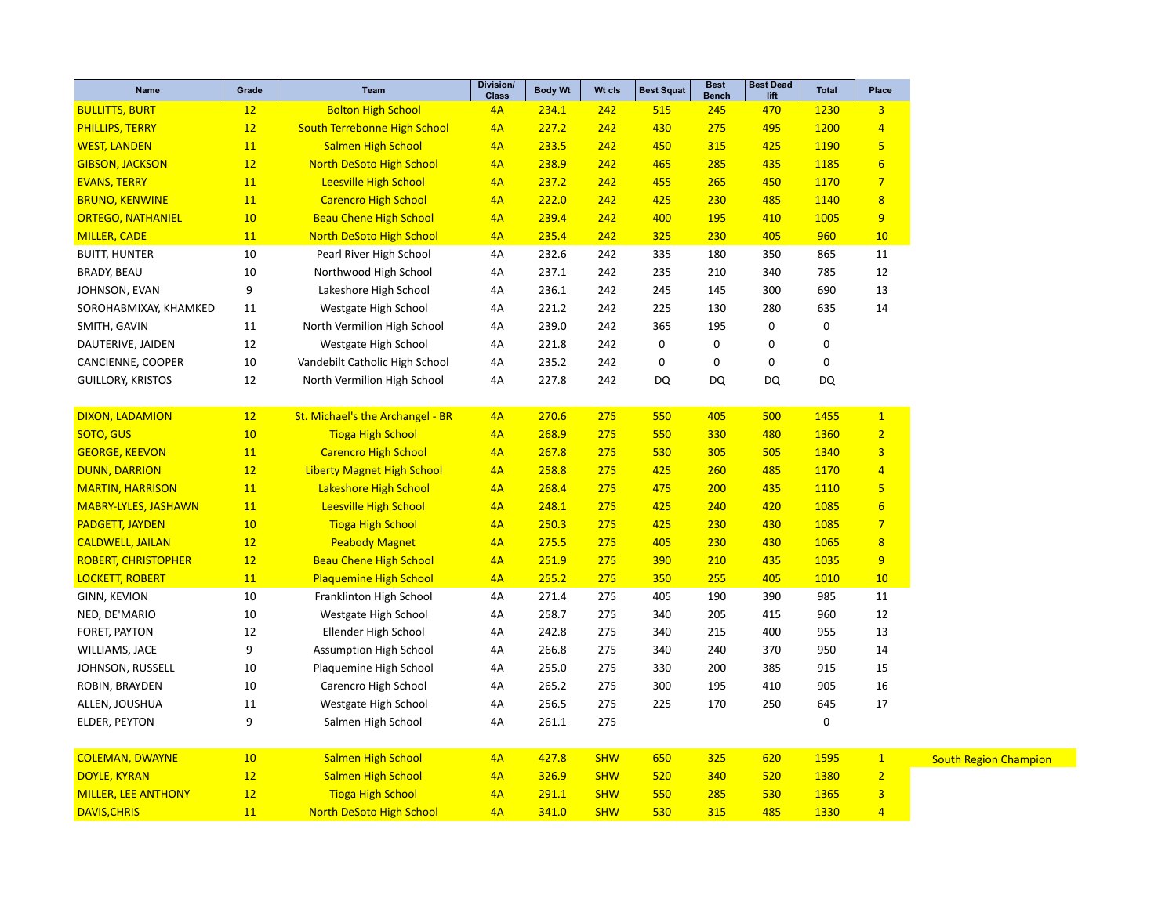| <b>Class</b><br><b>Bench</b><br>lift<br><b>BULLITTS, BURT</b><br>12<br><b>Bolton High School</b><br>234.1<br>242<br>515<br>245<br>470<br>1230<br>$\overline{3}$<br>4A |
|-----------------------------------------------------------------------------------------------------------------------------------------------------------------------|
|                                                                                                                                                                       |
| 12<br><b>South Terrebonne High School</b><br>242<br>1200<br><b>PHILLIPS, TERRY</b><br>4A<br>227.2<br>430<br>275<br>495<br>$\overline{4}$                              |
| 11<br><b>Salmen High School</b><br>233.5<br>242<br>450<br>315<br>425<br>1190<br>5<br><b>WEST, LANDEN</b><br>4A                                                        |
| 12<br>$6\phantom{1}6$<br><b>North DeSoto High School</b><br>4A<br>238.9<br>242<br>465<br>285<br>435<br>1185<br><b>GIBSON, JACKSON</b>                                 |
| $\overline{7}$<br>11<br><b>Leesville High School</b><br>242<br>455<br>265<br>450<br>1170<br><b>EVANS, TERRY</b><br>4A<br>237.2                                        |
| 485<br>$\overline{8}$<br><b>BRUNO, KENWINE</b><br>11<br><b>Carencro High School</b><br>4A<br>222.0<br>242<br>425<br>230<br>1140                                       |
| 9<br>10<br><b>Beau Chene High School</b><br>239.4<br>242<br>400<br>195<br>410<br>1005<br><b>ORTEGO, NATHANIEL</b><br>4A                                               |
| <b>North DeSoto High School</b><br>325<br>230<br>960<br><b>MILLER, CADE</b><br>11<br>4A<br>235.4<br>242<br>405<br>10                                                  |
| 10<br>Pearl River High School<br>232.6<br><b>BUITT, HUNTER</b><br>4A<br>242<br>335<br>180<br>350<br>865<br>11                                                         |
| <b>BRADY, BEAU</b><br>10<br>Northwood High School<br>237.1<br>242<br>210<br>340<br>785<br>12<br>4A<br>235                                                             |
| 9<br>Lakeshore High School<br>236.1<br>300<br>690<br>13<br>JOHNSON, EVAN<br>4A<br>242<br>245<br>145                                                                   |
| 225<br>130<br>280<br>635<br>14<br>SOROHABMIXAY, KHAMKED<br>11<br>Westgate High School<br>4A<br>221.2<br>242                                                           |
| 11<br>North Vermilion High School<br>239.0<br>242<br>365<br>195<br>$\mathbf 0$<br>0<br>SMITH, GAVIN<br>4A                                                             |
| 0<br>12<br>221.8<br>0<br>0<br>0<br>DAUTERIVE, JAIDEN<br>Westgate High School<br>4A<br>242                                                                             |
| 10<br>0<br>0<br>$\mathbf 0$<br>$\mathbf 0$<br>CANCIENNE, COOPER<br>Vandebilt Catholic High School<br>4A<br>235.2<br>242                                               |
| 12<br>North Vermilion High School<br>227.8<br>242<br>DQ<br>DQ<br>DQ<br>DQ<br><b>GUILLORY, KRISTOS</b><br>4A                                                           |
|                                                                                                                                                                       |
| DIXON, LADAMION<br>St. Michael's the Archangel - BR<br>$\mathbf{1}$<br>12<br>4A<br>270.6<br>275<br>550<br>405<br>500<br>1455                                          |
| 10<br>$\overline{2}$<br>SOTO, GUS<br><b>Tioga High School</b><br>268.9<br>330<br>480<br>1360<br>4A<br>275<br>550                                                      |
| $\overline{3}$<br>11<br><b>Carencro High School</b><br>4A<br>275<br>305<br>505<br>1340<br><b>GEORGE, KEEVON</b><br>267.8<br>530                                       |
| 12<br><b>Liberty Magnet High School</b><br>485<br>1170<br><b>DUNN, DARRION</b><br>4A<br>258.8<br>275<br>425<br>260<br>$\overline{4}$                                  |
| 11<br><b>Lakeshore High School</b><br>275<br>5<br><b>MARTIN, HARRISON</b><br>4A<br>268.4<br>475<br>200<br>435<br>1110                                                 |
| $6\overline{6}$<br><b>MABRY-LYLES, JASHAWN</b><br>11<br><b>Leesville High School</b><br>4A<br>248.1<br>275<br>425<br>240<br>420<br>1085                               |
| 10<br>430<br>1085<br>$\overline{7}$<br><b>PADGETT, JAYDEN</b><br><b>Tioga High School</b><br>4A<br>250.3<br>275<br>425<br>230                                         |
| 430<br>1065<br>$\overline{8}$<br><b>CALDWELL, JAILAN</b><br>12<br><b>Peabody Magnet</b><br>4A<br>275.5<br>275<br>405<br>230                                           |
| 12<br><b>Beau Chene High School</b><br>275<br>435<br>1035<br>9<br><b>ROBERT, CHRISTOPHER</b><br>4A<br>251.9<br>390<br>210                                             |
| 275<br><b>LOCKETT, ROBERT</b><br>11<br><b>Plaquemine High School</b><br>4A<br>255.2<br>350<br>255<br>405<br>1010<br>10                                                |
| <b>GINN, KEVION</b><br>10<br>Franklinton High School<br>271.4<br>275<br>405<br>190<br>390<br>985<br>11<br>4A                                                          |
| 10<br>12<br>NED, DE'MARIO<br>Westgate High School<br>258.7<br>275<br>340<br>205<br>415<br>960<br>4A                                                                   |
| 12<br>Ellender High School<br>242.8<br>400<br>955<br>13<br>FORET, PAYTON<br>4A<br>275<br>340<br>215                                                                   |
| 9<br>WILLIAMS, JACE<br><b>Assumption High School</b><br>4A<br>266.8<br>275<br>340<br>240<br>370<br>950<br>14                                                          |
| 10<br>Plaquemine High School<br>255.0<br>275<br>330<br>200<br>385<br>915<br>15<br>JOHNSON, RUSSELL<br>4A                                                              |
| 10<br>905<br>16<br>ROBIN, BRAYDEN<br>Carencro High School<br>4A<br>265.2<br>275<br>300<br>195<br>410                                                                  |
| 256.5<br>645<br>ALLEN, JOUSHUA<br>11<br>Westgate High School<br>4A<br>275<br>225<br>170<br>250<br>17                                                                  |
| 9<br>$\pmb{0}$<br>261.1<br>275<br>ELDER, PEYTON<br>Salmen High School<br>4A                                                                                           |
|                                                                                                                                                                       |
| <b>COLEMAN, DWAYNE</b><br><b>Salmen High School</b><br>$\mathbf{1}$<br>10<br>4A<br>427.8<br><b>SHW</b><br>650<br>325<br>620<br>1595                                   |
| $\overline{2}$<br>12<br><b>Salmen High School</b><br><b>DOYLE, KYRAN</b><br>4A<br>326.9<br><b>SHW</b><br>520<br>340<br>520<br>1380                                    |
| 12<br>3<br><b>MILLER, LEE ANTHONY</b><br><b>Tioga High School</b><br>4A<br>291.1<br><b>SHW</b><br>530<br>1365<br>550<br>285                                           |
| <b>North DeSoto High School</b><br>341.0<br>315<br>485<br>1330<br>$\overline{4}$<br><b>DAVIS, CHRIS</b><br>11<br>4A<br><b>SHW</b><br>530                              |